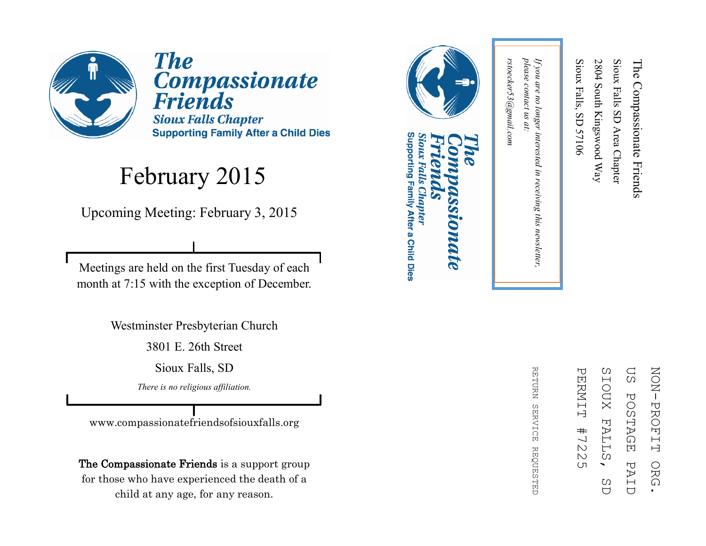

**The** Compassionate<br>Friends **Sioux Falls Chapter Supporting Family After a Child Dies** 

#### February 2015

Upcoming Meeting: February 3, 2015

Meetings are held on the first Tuesday of each month at 7:15 with the exception of December.

Westminster Presbyterian Church

3801 E. 26th Street

Sioux Falls, SD

*There is no religious affiliation.*

www.compassionatefriendsofsiouxfalls.org

The Compassionate Friends is a support group for those who have experienced the death of a child at any age, for any reason.



## Supporting Family After a Child Dies Sioux Falls Chapter **DIDATE**

ΩS **NON-PROFIT** ZOZI PROFIT ORG. PERNIT PERMIT #7225 SIOUX SIOUX FALLS, SD US POSTAGE PAID**POSTAGE FALL**  $#$  $\frac{1}{2}$  $\mathbbmss{N}$ Ω PAI ORG  $\overline{(\Pi)}$ C)  $\overline{C}$  $\overline{U}$ 

RETURN REFURN SERVICE REQUESTED **SERVICE REQUESTED** 

please contact us at: *please contact us at:*  rstoecker53@gmail.com *rstoecker53@gmail.com*

*If you are no longer interested in receiving this newsletter,* 

in receiving this newsletter,

If you are no longer interested

Sioux Falls, SD 57106

Sioux Falls, SD 57106

2804 South Kingswood Way

2804 South Kingswood Way

Sioux Falls SD Area Chapter

Sioux Falls SD Area Chapter

The Compassionate Friends

The Compassionate Friends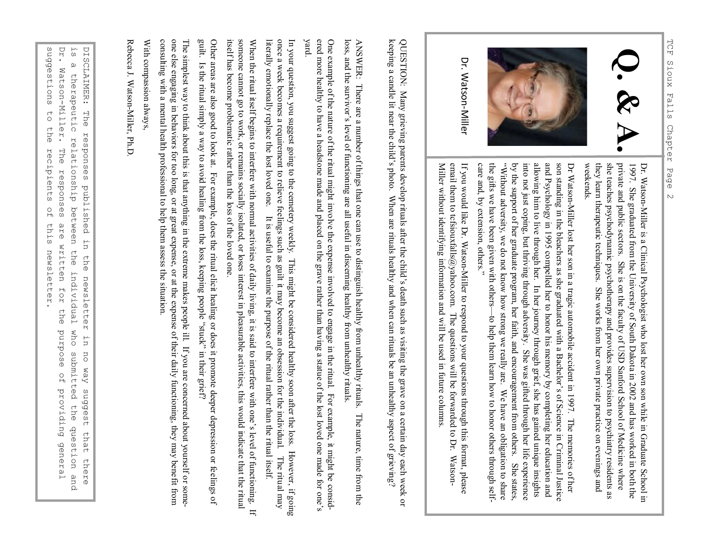



Dr. Watson-Miller

> Dr. WatsonDr. Watson-Miller is a Clinical Psychologist who lost her own son while in Graduate School in Miller is a Clinical Psychologist who lost her own son while in Graduate School in weekends. they learn therapeutic techniques. She works from her own private practice on evenings and she teaches psychodynamic psychotherapy and provides supervision to psychiatry residents as private and public sectors. She is on the faculty of USD Sanford School of Medicine where 1997. She graduated from the University of South Dakota in 2002 and has worked in both the private and public sectors. She is on the faculty of USD Sanford School of Medicine where she traches psychodynamic psychotherapy a

and Psychology in 1995 compelled her to honor his memory by completing her education and allowing him to live through her. In her journey through grief, she has gained unique insights into not just coping, but thriving th son standing in the bleachers as she graduated with a Bachelor's of Science in Criminal Justice by the support of her graduate program, her faith, and encouragement from others. She states, the gifts we have been given with others "Without adversity, we do not know how strong we really are. We have an obligation to share into not just coping, but thriving through adversity. She was gifted through her life experience allowing him to live through her. In her journey through grief, she has gained unique insights son standing in the bleachers as she graduated with a Bachelor's of Science in Criminal Justice Dr Watson

Miller without identifying information and will be used in future columns. email them to tcfsiouxfalls@yahoo.com. The questions will be forwarded to Dr. Watson-If you would like Dr. Watson-Miller to respond to your questions through this format, please entan uteun to terstouration@yantor.com. The questions with the tot wature to total warsour<br>Miller without identifying information and will be used in future columns. email them to tcfsiouxfalls@yahoo.com. The questions will be forwarded to Dr. WatsonIf you would like Dr. WatsonMiller to respond to your questions through this format, please

keeping a candle lit near the child's photo. When are rituals healthy and when can rituals be an unhealthy aspect of grieving? keeping a candle lit near the child's photo. When are rituals healthy and when can rituals be an unhealthy aspect of grieving? QUESTION: Many grieving parents develop rituals after the child's death such as visiting the grave on a certain day each week or QUESTION: Many grieving parents develop rituals after the child 's death such as visiting the grave on a certain day each week or

loss, and the survivor's level of functioning are all useful in discerning healthy from unhealthy rituals. ANSWER: There are a number of things that one can use to distinguish healthy from unhealthy rituals. The nature, time from the ANSWER: There at a number of things that one can use to distinguish health  $\lambda$  and  $\lambda$  and  $\lambda$  is the nature, time from the state of  $\lambda$  and  $\lambda$  and  $\lambda$  and  $\lambda$  and  $\lambda$  and  $\lambda$  and  $\lambda$  and  $\lambda$  and  $\lambda$  and  $\lambda$ loss, and the survivor's level of functioning are all useful in discerning healthy from unhealthy rituals.

One example of the nature of the ritual might involve the expense involved to engage in the ritual. For example, it might be One example of the nature of the ritual might involve the expense involved to engage in the ritual. For example, it might be considered more healthy to have a headstone made and placed on the grave rather than having a statue of the lost loved one made for ered more healthy to have a headstone made and placed on the grave rather than having a statue of the lost loved one made for one's yard.

once a week becomes a requirement to relieve feelings such as guilt it may become an obsession for the individual. The ritual may literally emotionally replace the lost loved one. It is useful to examine the purpose of the literally emotionally replace the lost loved one. In your question, you suggest going to the cemetery weekly. This might be considered healthy soon after the loss. However, if going literally emotionally replace the lost loved one. It is useful to examine the purpose of the ritual rather than the ritual once a week becomes a requirement to relieve feelings such as guilt it may become an obsession for the individual. The ritual may In your question, you suggest going to the cemetery weekly. This might be considered healthy soon after the loss. However,

someone cannot go to work, or remains socially isolated, or loses interest in pleasurable activities, this would indicate that the ritual itself has become problematic rather than the loss of the loved one. When the ritual itself begins to interfere with normal activities of daily living, it is said to interfere with one's level of functioning. If When the ritual itself begins to interfere with one's level one of daily living, it is said to interfere with one's level of function  $\mathbf f$ . itself has become problematic rather than the loss of the loved one. someone cannot go to work, or remains socially isolated, or loses interest in pleasurable activities, this would indicate that the ritual

guilt. Other areas are also good to look at. For example, does the ritual elicit healing or does it promote deeper depression or feelings of guilt. Is the ritual simply a way to avoid healing from the loss, keeping people "stuck" in their grief? Other areas are also good to look at. For example, does the ritual elicit healing or does it promote deeper depression or fe Is the ritual simply a way to avoid healing from the loss, keeping people "stuck" in their grief?

one else engaging in behaviors for too long, or at great expense, or at the expense of their daily functioning, they may benefit from consulting with a mental health professional to help them assess the situation. The simplest way to think about this is that anything in the extreme makes people ill. If you are concerned about yourself or someconsulting with a mental health professional to help them assess the situation.<br>With compassion always,<br>Rebecca J. Watson-Miller, Ph.D. one else engaging in behaviors for too long, or at great expense, or at the expense of their daily functioning, they may benefit The simplest way to think about this is that anything in the extreme makes people ill. If you are concerned about yourself or some-

With compassion always, With compassion always,

Rebecca J. Watson-Miller, Ph.D Rebecca J. Watson

 $\mathbf{D} \mathbf{r}$  . suggestions DISCLAIMER: The responses published in the newsletter in suggestions to the recipients of this newsletter. DISCLAIMER: The responses published in the newsletter in no way suggest that there<br>is a therapeutic relationship between the individual who submitted the question and<br>Dr. Watson-Miller. The responses are written for the pu Dr. Watson is a therapeutic relationship between the individual who submitted the question and ່ທ  $\omega$ Watson-Miller. therapeutic relationship between the individual  $\begin{array}{c}\n\uparrow \\
\downarrow\n\end{array}$ the recipients The responses  $\frac{0}{10}$ this are written for newsletter. the who submitted the question and esodind no way suggest that there  $\frac{0}{1}$ providing general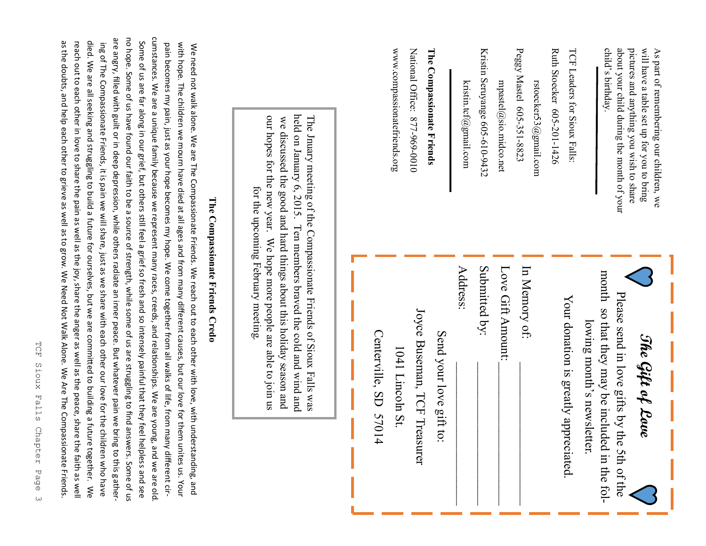| Some of us are far along in our grief, but others still feel a grief so fresh and so intensely painful that they fee                                                                                                                                                                                                                                                                                                                                                                                                                                                                                                                                                                                                                                                                                                                                                                                                                                                                             |                                                                                                                                                                                                                                                                                                                             | www.compassionatefriends.org                                         | National Office: 877-969-0010<br>The Compassionate Friends |                         | kristin.tcf@gmail.com | Kristin Seruyange 605-610-9432 | mpastel@sio.midco.net | Peggy Mastel 605-351-8823<br>rstoecker53@gmail.com | Ruth Stoecker 605-201-1426<br>TCF Leaders for Sioux Falls: | about your child during the month of your<br>will have a table set up for you to bring<br>child's birthday.<br>pictures and anything you wish to share<br>As part of remembering our children, we |
|--------------------------------------------------------------------------------------------------------------------------------------------------------------------------------------------------------------------------------------------------------------------------------------------------------------------------------------------------------------------------------------------------------------------------------------------------------------------------------------------------------------------------------------------------------------------------------------------------------------------------------------------------------------------------------------------------------------------------------------------------------------------------------------------------------------------------------------------------------------------------------------------------------------------------------------------------------------------------------------------------|-----------------------------------------------------------------------------------------------------------------------------------------------------------------------------------------------------------------------------------------------------------------------------------------------------------------------------|----------------------------------------------------------------------|------------------------------------------------------------|-------------------------|-----------------------|--------------------------------|-----------------------|----------------------------------------------------|------------------------------------------------------------|---------------------------------------------------------------------------------------------------------------------------------------------------------------------------------------------------|
| cumstances. We are a unique family because we represent many races, creeds, and relationships. We are young, and we are old<br>are angry, filled with guilt or in deep depression, while others radiate an inner peace. But whatever pain we bring to this gather-<br>no hope. Some of us have found our faith to be a source of strength, while some of us are struggling to find answers. Some of us<br>ing of The Compassionate Friends, it is pain we will share, just as we share with each other our love for the children who have<br>pain becomes my pain, just as your hope becomes my hope. We come together from all walks of life, from many different cir-<br>with hope. The children we mourn have died at all ages and from many different causes, but our love for them unites us. Your<br>We need not walk alone. We are The Compassionate Friends. We reach out to each other with love, with understanding, and<br>The Compassionate Friends Credo<br><b>helpless and see</b> | held on January 6, 2015. Ten members braved the cold and wind and<br>our hopes for the new year. We hope more people are able to join us<br>The Jnuary meeting of the Compassionate Friends of Sioux Falls was<br>we discussed the good and hard things about this holiday season and<br>for the upcoming February meeting. | Centerville, SD 5701<br>1041 Lincoln St.<br>$\overline{\mathcal{A}}$ | Joyce Buseman, TCF Treasurer                               | Send your love gift to: | Address:              | Submitted by:                  | Love Gift Amount:     | In Memory of:                                      | Your donation is greatly appreciated                       | month so that they may be included in the fol-<br>Please send in love gifts by the 5th of the<br>lowing month's newsletter.<br>The Gift of Love                                                   |

## TCF Sioux Falls Chapter Page TCF Sioux Falls Chapter Page 3  $\omega$

ing Of The Compassionate Friends, it is pain we will share, just as we share with each other our love for the children who have  $\kappa$ died. We are all seeking and struggling to build a future for ourselves, but we are committed to building a future together. died. We are all seeking and struggling to build a future for ourselves, but we are committed to building a future together. We reach out to each other in love to share the pain as well as the joy, share the anger as well as the peace, share the faith as well as the doubts, and help each other to grieve as well as to grow. We Need Not Walk Alone. We Are The Compassionate Friends.

reach out to each other in love to share the pain as well as the joy, share the anger as well as the peace, share the faith as well as the doubts, and help each other to grieve as well as to grow. We Need Not Walk Alone. We Are The Compassionate Friends.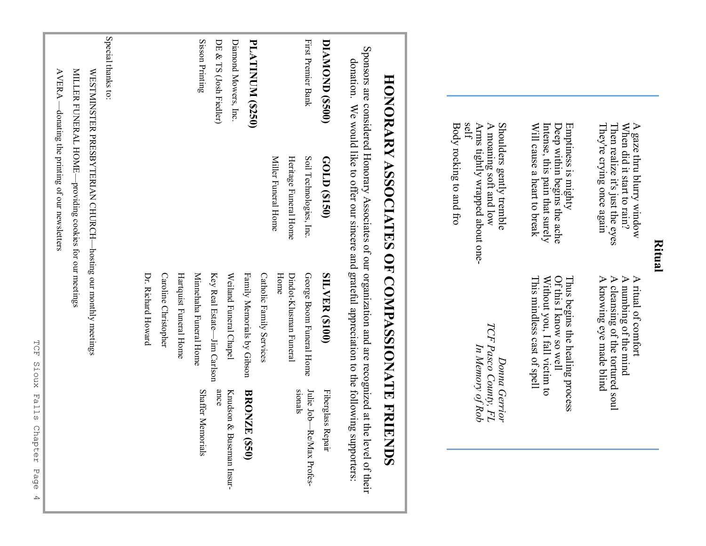| self                    | Shoulders gently tremble<br>Arms tightly wrapped about one-<br>A moaning soft and low<br>Intense, this pain that surely<br>Deep within begins the ache<br>Body rocking to and fro<br>Will cause a heart to break<br>Emptiness is mighty               | Of this I know so well<br>This mindless cast of spell<br>Without you, I fall victim to<br>Thus begins the healing process<br>TCF Pasco County, FL<br>In Memory of Rob | Donna Gerrior            |
|-------------------------|-------------------------------------------------------------------------------------------------------------------------------------------------------------------------------------------------------------------------------------------------------|-----------------------------------------------------------------------------------------------------------------------------------------------------------------------|--------------------------|
|                         |                                                                                                                                                                                                                                                       |                                                                                                                                                                       |                          |
| donation.               | Sponsors are considered Honorary Associates of our organization and are recognized at the level of their<br>HONORARY ASSOCIATES OF COMPASSIONATE FRIENDS<br>We would like to offer our sincere and grateful appreciation to the following supporters: |                                                                                                                                                                       |                          |
| DIAMOND (\$500)         | GOLD (\$150)                                                                                                                                                                                                                                          | <b>SILVER (\$100)</b>                                                                                                                                                 | Fiberglass Repair        |
| First Premier Bank      | Soil Technologies, Inc                                                                                                                                                                                                                                | George Boom Funeral Home                                                                                                                                              | Julie Job-Re/Max Profes- |
|                         | Heritage Funeral Home<br>Miller Funeral Home                                                                                                                                                                                                          | $H$ ome<br>Dindot-Klusman Funeral                                                                                                                                     | sionals                  |
|                         |                                                                                                                                                                                                                                                       | Catholic Family Services                                                                                                                                              |                          |
| <b>PLATINUM (\$250)</b> |                                                                                                                                                                                                                                                       | Family Memorials by Gibson                                                                                                                                            | <b>BRONZE (\$50)</b>     |
| Diamond Mowers, Inc.    |                                                                                                                                                                                                                                                       | Weiland Funeral Chapel                                                                                                                                                | Knudson & Buseman Insur- |
| DE & TS (Josh Fiedler)  |                                                                                                                                                                                                                                                       | Key Real Estate—Jim Carlson                                                                                                                                           | ance                     |
| Sisson Printing         |                                                                                                                                                                                                                                                       | Minnehaha Funeral Home                                                                                                                                                | <b>Shaffer Memorials</b> |
|                         |                                                                                                                                                                                                                                                       | Hartquist Funeral Home                                                                                                                                                |                          |
|                         |                                                                                                                                                                                                                                                       | Caroline Christopher                                                                                                                                                  |                          |
|                         |                                                                                                                                                                                                                                                       | Dr. Richard Howard                                                                                                                                                    |                          |
|                         |                                                                                                                                                                                                                                                       |                                                                                                                                                                       |                          |
| Special thanks to:      |                                                                                                                                                                                                                                                       |                                                                                                                                                                       |                          |
|                         | WESTMINSTER PRESBYTERIAN CHURCH-hosting our monthly meetings                                                                                                                                                                                          |                                                                                                                                                                       |                          |
| MILLER FUNERAL HOME-    | -providing cookies for our meetings                                                                                                                                                                                                                   |                                                                                                                                                                       |                          |
|                         | $\text{AVERA}$ —donating the printing of our newsletters                                                                                                                                                                                              |                                                                                                                                                                       |                          |

TCF Sioux Falls Chapter Page 4 sioux Falls Chapter Page  $\overline{4}$ 

**TCF** 

### **Ritual**

They're crying once again Then realize it's just the eyes When did it start to rain? A gaze thru blurry window

A gaze thru blurry window<br>When did it start to rain?<br>Then realize it's just the eyes<br>They're crying once again

A knowing eye made blind A cleansing of the tortured soul A numbing of the mind A ritual of comfort

A ritual of comfort<br>A numbing of the mind<br>A cleansing of the tortured soul<br>A knowing eye made blind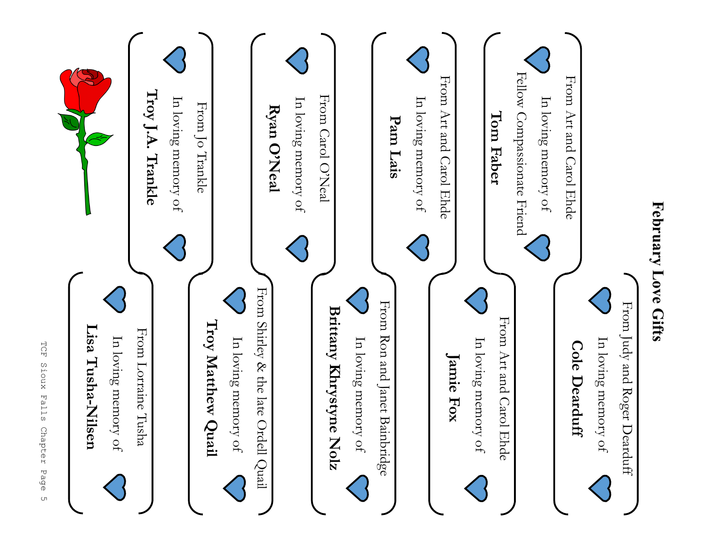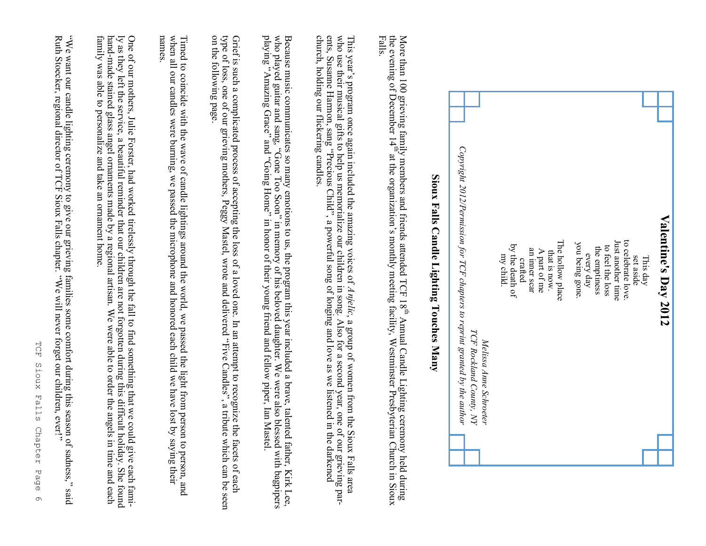| Copyright 2012/Permission for TCF chapters to reprint granted by the author |  |
|-----------------------------------------------------------------------------|--|
| TCF Rockland County, NY<br>Melissa Anne Schroeter                           |  |
| my child.                                                                   |  |
| by the death of                                                             |  |
| crafted                                                                     |  |
| an inner scar                                                               |  |
| A part of me                                                                |  |
| that is now.                                                                |  |
| The hollow place                                                            |  |
| you being gone.                                                             |  |
| every day                                                                   |  |
| the emptiness                                                               |  |
| to feel the loss                                                            |  |
| Just another time                                                           |  |
| to celebrate love.                                                          |  |
| set aside                                                                   |  |
| This day                                                                    |  |
|                                                                             |  |
| Valentine's Day 2012                                                        |  |

Sioux Falls Candle Lighting Touches Many **Sioux Falls Candle Lighting Touches Many**

More than 100 grieving family members and friends attended TCF 18s Annual Candle Lighting ceremony held during the evening of December 14s at the organization's monthly meeting facility, Westminster Presbyterian Church in Sioux Falls.

This year's program once again included the amazing voices of *Anjelic*, a group of women from the Sioux Falls area<br>who use their musical gifts to help us memorialize our children in song. Also for a second year, one of o 's program once again included the amazing voices of *Anjelic*, a group of women from the Sioux Falls area ents, Susanne Harmon, sang who use their musical gifts to help us memorialize our children in song. Also for a second year, one of our grieving par- "Precious Child", a powerful song of longing and love as we listened in the darkened church, holding our flickering candles.

Because music communicates so many emotions to us, the program this year included a brave, talented father, Kirk Lee, who played guitar and sang, "Gone Too Soon" in memory of his beloved daughter. We were also blessed with playing "Amazing Grace" and "Going Home" in honor of their young friend and fellow piper, Ian Mastel. who played guitar and sang, Because music communicates so many emotions to us, the program this year included a brave, talented father, Kirk Lee, "Gone Too Soon" in memory of his beloved daughter. We were also blessed with bagpipers

on the following page. Grief is such a complicated process of accepting the loss of a loved one. In an attempt to recognize the facets of each type of loss, one of our grieving mothers, Peggy Mastel, wrote and delivered "Five Candles", a tribute on the following page. type of loss, one of our grieving mothers, Peggy Mastel, wrote and delivered Grief is such a complicated process of accepting the loss of a loved one. In an attempt to recognize the facets of each "Five Candles", a tribute which can be seen

Timed to coincide with the wave of candle lightings around the world, we passed the light from person to person, and<br>when all our candles were burning, we passed the microphone and honored each child we have lost by saying **names**. names. when all our candles were burning, we passed the microphone and honored each child we have lost by saying their Timed to coincide wave of candle lighting around the wave dual distribution from person to person to person to person to person to person to person to person to person to person to person to person to person to person to

ly as they left the service, a beautiful reminder that our children are not forgotten during this difficult holiday. She foun One of our mothers, Julie Forster, had worked tirelessly through the fall to find something that we could give each fami-One of our mothers, Julie Forster, had worked trielessly through the fall to find something that we could give each fami-<br>ly as they left the service, a beautiful reminder that our children are not forgotten during this di handmade stained glass angel ornaments made by a regional artisan. We were able to order the angels in time and each family was able to personalize and take an ornament home.

"We want our candle lighting ceremony to give our grieving families some comfort during this season of sadness, "We want our candle lighting ceremony to give our grieving families some comfort during this season of sadness," said<br>Ruth Stoecker, regional director of TCF Sioux Falls chapter. "We will never forget our children, ever!" Ruth Stoecker, regional director of TCF Sioux Falls chapter. "We will never forget our children, ever!"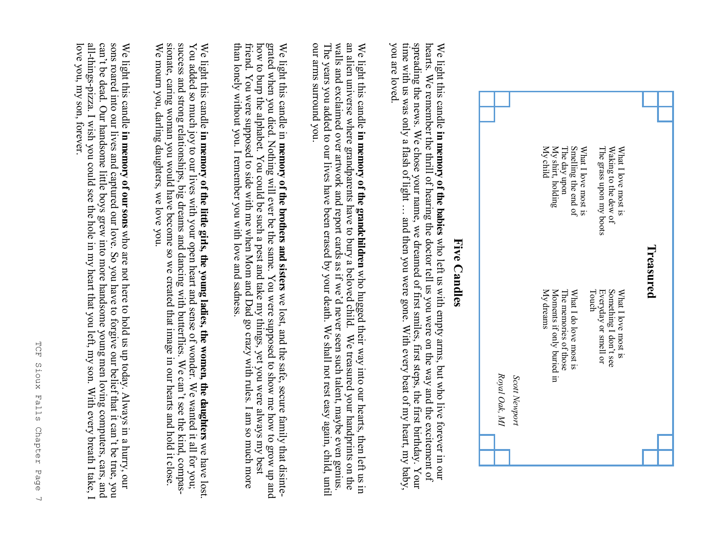

#### **Five Candles Five Candles**

hearts. We remember the thrill of hearing the doctor tell us you were on the way and the excitement of spreading the news. We chose your name, we dreamed of first smiles, first steps, the first birthday. Your you are loved time with us was only a flash of light ... and then you were gone. With every beat of my heart, my baby, We light this candle in memory of the babies who left us with empty arms, but who live forever in our you are loved. time with us was only a flash of light spreading the news. We chose your name, we dreamed of first smiles, first steps, the first birthday. Your hearts. We remember the thrill of hearing the doctor tell us you were on the way and the excitement of We light this candle **in memory of the babies** … and then you were gone. With every beat of my heart, my baby, who left us with empty arms, but who live forever in our

an alien universe where grandparents have to bury a beloved child. We treasured your handprints on the our arms surround you The years you added to our lives have been erased by your death. We shall not rest easy again, child, until walls and exclaimed over artwork and report cards as if we'd never seen such talent, maybe even genius We light this candle in memory of the grandchildren who hugged their way into our hearts, then left us in our arms surround you. The years you added to our lives have been erased by your death. We shall not rest easy again, child, until walls and exclaimed over artwork and report cards as if we an alien universe where grandparents have to bury a beloved child. We treasured your handprints on the We light this candle **in memory of the grandchildren** who hugged their way into our hearts, then left us in 'd never seen such talent, maybe even genius.

than lonely without you. I remember you with love and sadness. friend. You were supposed to side with me when Mom and Dad go crazy with rules. I am so much more how to burp the alphabet. You could be such a pest and take my things, yet you were always my best grated when you died. Nothing will ever be the same. You were supposed to show me how to grow up and We light this candle in **memory of the brothers and sisters** we lost, and the safe, secure family that disintegrated when you died. Nothing will ever be the same. You were supposed to show me how to grow up and<br>how to burp the alphabet. You could be such a pest and take my things, yet you were always my best<br>friend. You were suppo We light this candle in **memory of the brothers and sisters** we lost, and the safe, secure family that disinte-

sionate, caring woman you would have become so we created that image in our hearts and hold it close success and strong relationships, big dreams and dancing with butterflies. We can't see the kind, compas-We mourn you, darling daughters, we love you. We light this candle in memory of the little girls, the young ladies, the women, the daughters we have lost.<br>You added so much joy to our lives with your open heart and sense of wonder. We wanted it all for you; sionate, caring woman you would have become so we created that image in our hearts and hold it close.<br>We mourn you, darling daughters, we love you.<br>We mourn you, darling daughters, we love you. success and strong relationships, big dreams and dancing with butterflies. We can You added so much joy to our lives with your open heart and sense of wonder. We wanted it all for you; 't see the kind, compas-

sons roared into our lives and captured our love. So you have to forgive our belief that it can't be true, you love you, my son, forever. We light this candle in memory of our sons who are not here to hold us up today. Always in a hurry, our love you, my son, forever.all-thingscan't be dead. Our handsome little boys grew into more handsome young men loving computers, cars, and sons roared into our lives and captured our love. So you have to forgive our belief that it can't be true, you pizza. I wish you could see the hole in my heart that you left, my son. With every breath I take, I